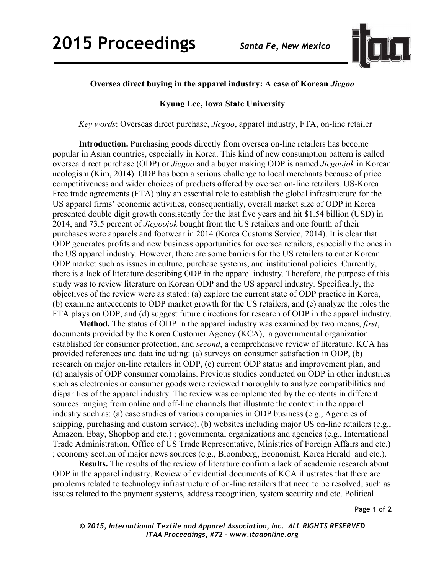

## **Oversea direct buying in the apparel industry: A case of Korean** *Jicgoo*

## **Kyung Lee, Iowa State University**

*Key words*: Overseas direct purchase, *Jicgoo*, apparel industry, FTA, on-line retailer

**Introduction.** Purchasing goods directly from oversea on-line retailers has become popular in Asian countries, especially in Korea. This kind of new consumption pattern is called oversea direct purchase (ODP) or *Jicgoo* and a buyer making ODP is named *Jicgoojok* in Korean neologism (Kim, 2014). ODP has been a serious challenge to local merchants because of price competitiveness and wider choices of products offered by oversea on-line retailers. US-Korea Free trade agreements (FTA) play an essential role to establish the global infrastructure for the US apparel firms' economic activities, consequentially, overall market size of ODP in Korea presented double digit growth consistently for the last five years and hit \$1.54 billion (USD) in 2014, and 73.5 percent of *Jicgoojok* bought from the US retailers and one fourth of their purchases were apparels and footwear in 2014 (Korea Customs Service, 2014). It is clear that ODP generates profits and new business opportunities for oversea retailers, especially the ones in the US apparel industry. However, there are some barriers for the US retailers to enter Korean ODP market such as issues in culture, purchase systems, and institutional policies. Currently, there is a lack of literature describing ODP in the apparel industry. Therefore, the purpose of this study was to review literature on Korean ODP and the US apparel industry. Specifically, the objectives of the review were as stated: (a) explore the current state of ODP practice in Korea, (b) examine antecedents to ODP market growth for the US retailers, and (c) analyze the roles the FTA plays on ODP, and (d) suggest future directions for research of ODP in the apparel industry.

**Method.** The status of ODP in the apparel industry was examined by two means, *first*, documents provided by the Korea Customer Agency (KCA), a governmental organization established for consumer protection, and *second*, a comprehensive review of literature. KCA has provided references and data including: (a) surveys on consumer satisfaction in ODP, (b) research on major on-line retailers in ODP, (c) current ODP status and improvement plan, and (d) analysis of ODP consumer complains. Previous studies conducted on ODP in other industries such as electronics or consumer goods were reviewed thoroughly to analyze compatibilities and disparities of the apparel industry. The review was complemented by the contents in different sources ranging from online and off-line channels that illustrate the context in the apparel industry such as: (a) case studies of various companies in ODP business (e.g., Agencies of shipping, purchasing and custom service), (b) websites including major US on-line retailers (e.g., Amazon, Ebay, Shopbop and etc.) ; governmental organizations and agencies (e.g., International Trade Administration, Office of US Trade Representative, Ministries of Foreign Affairs and etc.) ; economy section of major news sources (e.g., Bloomberg, Economist, Korea Herald and etc.).

**Results.** The results of the review of literature confirm a lack of academic research about ODP in the apparel industry. Review of evidential documents of KCA illustrates that there are problems related to technology infrastructure of on-line retailers that need to be resolved, such as issues related to the payment systems, address recognition, system security and etc. Political

*© 2015, International Textile and Apparel Association, Inc. ALL RIGHTS RESERVED ITAA Proceedings, #72 – www.itaaonline.org*